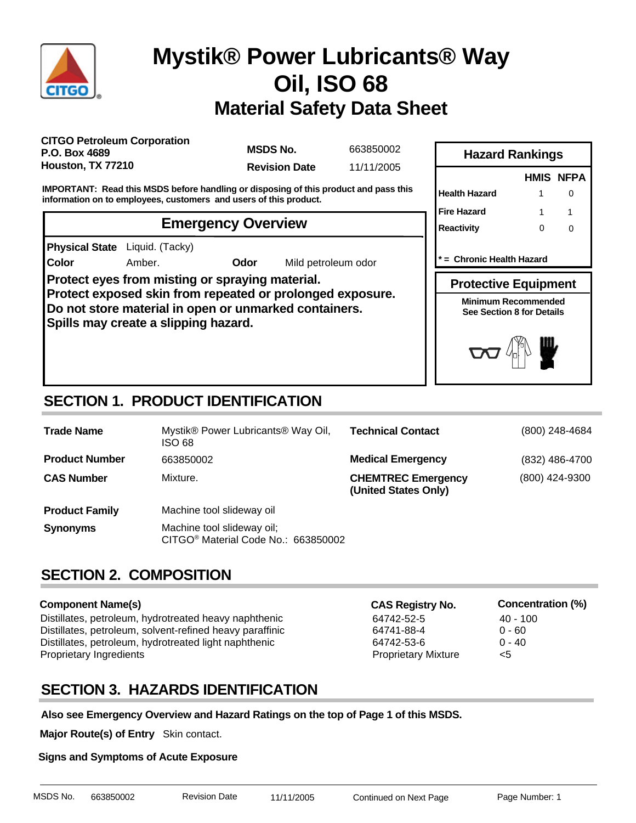

**Color**

# **Material Safety Data Sheet Mystik® Power Lubricants® Way Oil, ISO 68**

**CITGO Petroleum Corporation P.O. Box 4689 Houston, TX 77210**

**MSDS No.**

663850002 **Revision Date** 11/11/2005

**IMPORTANT: Read this MSDS before handling or disposing of this product and pass this information on to employees, customers and users of this product.**

### **Emergency Overview**

**Physical State** Liquid. (Tacky)

Amber. **Odor** Mild petroleum odor

**Protect eyes from misting or spraying material. Protect exposed skin from repeated or prolonged exposure. Do not store material in open or unmarked containers. Spills may create a slipping hazard.**



**\* = Chronic Health Hazard**

**Protective Equipment**

**Minimum Recommended See Section 8 for Details**



# **SECTION 1. PRODUCT IDENTIFICATION**

| <b>Trade Name</b>     | Mystik® Power Lubricants® Way Oil,<br>ISO 68                                  | <b>Technical Contact</b>                          | (800) 248-4684 |
|-----------------------|-------------------------------------------------------------------------------|---------------------------------------------------|----------------|
| <b>Product Number</b> | 663850002                                                                     | <b>Medical Emergency</b>                          | (832) 486-4700 |
| <b>CAS Number</b>     | Mixture.                                                                      | <b>CHEMTREC Emergency</b><br>(United States Only) | (800) 424-9300 |
| <b>Product Family</b> | Machine tool slideway oil                                                     |                                                   |                |
| <b>Synonyms</b>       | Machine tool slideway oil;<br>CITGO <sup>®</sup> Material Code No.: 663850002 |                                                   |                |

# **SECTION 2. COMPOSITION**

#### **Component Name(s)**

Distillates, petroleum, hydrotreated heavy naphthenic 64742-52-5 40 - 100<br>Distillates, petroleum, solvent-refined heavy paraffinic 64741-88-4 64741-88-4 Distillates, petroleum, solvent-refined heavy paraffinic 64741-88-4 Distillates, petroleum, hydrotreated light naphthenic 64742-53-6 0 - 40 Proprietary Ingredients **Proprietary Mixture According to According the Proprietary Mixture According to According to According the According to According the According to According the According to According the According** 

**CAS Registry No. Concentration (%)**

- 
- 
- 

# **SECTION 3. HAZARDS IDENTIFICATION**

**Also see Emergency Overview and Hazard Ratings on the top of Page 1 of this MSDS.**

**Major Route(s) of Entry** Skin contact.

#### **Signs and Symptoms of Acute Exposure**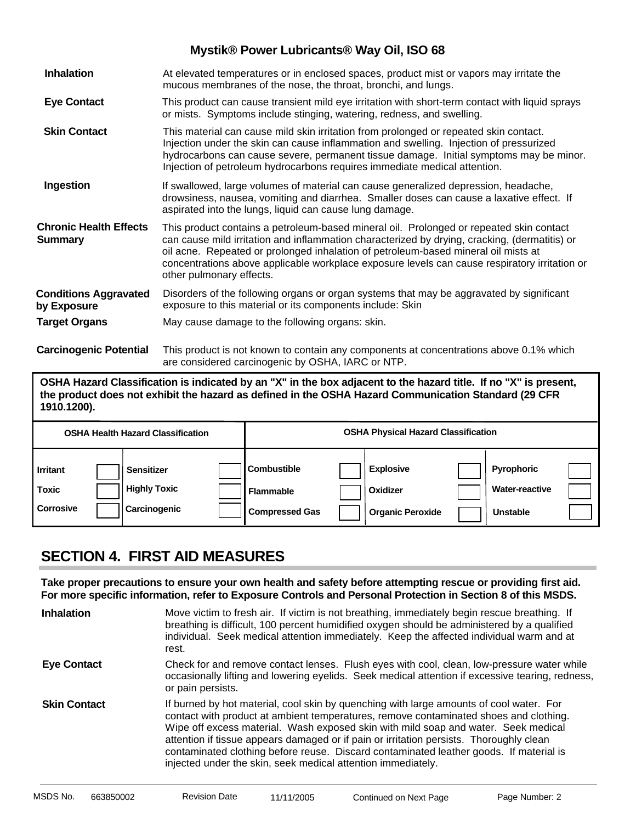| <b>Inhalation</b>                               | At elevated temperatures or in enclosed spaces, product mist or vapors may irritate the<br>mucous membranes of the nose, the throat, bronchi, and lungs.                                                                                                                                                                                                                                                    |
|-------------------------------------------------|-------------------------------------------------------------------------------------------------------------------------------------------------------------------------------------------------------------------------------------------------------------------------------------------------------------------------------------------------------------------------------------------------------------|
| <b>Eye Contact</b>                              | This product can cause transient mild eye irritation with short-term contact with liquid sprays<br>or mists. Symptoms include stinging, watering, redness, and swelling.                                                                                                                                                                                                                                    |
| <b>Skin Contact</b>                             | This material can cause mild skin irritation from prolonged or repeated skin contact.<br>Injection under the skin can cause inflammation and swelling. Injection of pressurized<br>hydrocarbons can cause severe, permanent tissue damage. Initial symptoms may be minor.<br>Injection of petroleum hydrocarbons requires immediate medical attention.                                                      |
| Ingestion                                       | If swallowed, large volumes of material can cause generalized depression, headache,<br>drowsiness, nausea, vomiting and diarrhea. Smaller doses can cause a laxative effect. If<br>aspirated into the lungs, liquid can cause lung damage.                                                                                                                                                                  |
| <b>Chronic Health Effects</b><br><b>Summary</b> | This product contains a petroleum-based mineral oil. Prolonged or repeated skin contact<br>can cause mild irritation and inflammation characterized by drying, cracking, (dermatitis) or<br>oil acne. Repeated or prolonged inhalation of petroleum-based mineral oil mists at<br>concentrations above applicable workplace exposure levels can cause respiratory irritation or<br>other pulmonary effects. |
| <b>Conditions Aggravated</b><br>by Exposure     | Disorders of the following organs or organ systems that may be aggravated by significant<br>exposure to this material or its components include: Skin                                                                                                                                                                                                                                                       |
| <b>Target Organs</b>                            | May cause damage to the following organs: skin.                                                                                                                                                                                                                                                                                                                                                             |
| <b>Carcinogenic Potential</b>                   | This product is not known to contain any components at concentrations above 0.1% which<br>are considered carcinogenic by OSHA, IARC or NTP.                                                                                                                                                                                                                                                                 |

**OSHA Hazard Classification is indicated by an "X" in the box adjacent to the hazard title. If no "X" is present, the product does not exhibit the hazard as defined in the OSHA Hazard Communication Standard (29 CFR 1910.1200).**

|                                                       | <b>OSHA Health Hazard Classification</b>                        |                                                          | <b>OSHA Physical Hazard Classification</b>              |                                                               |  |
|-------------------------------------------------------|-----------------------------------------------------------------|----------------------------------------------------------|---------------------------------------------------------|---------------------------------------------------------------|--|
| <b>I</b> Irritant<br><b>Toxic</b><br><b>Corrosive</b> | <b>Sensitizer</b><br><b>Highly Toxic</b><br><b>Carcinogenic</b> | Combustible<br><b>Flammable</b><br><b>Compressed Gas</b> | <b>Explosive</b><br>Oxidizer<br><b>Organic Peroxide</b> | <b>Pyrophoric</b><br><b>Water-reactive</b><br><b>Unstable</b> |  |

# **SECTION 4. FIRST AID MEASURES**

**Take proper precautions to ensure your own health and safety before attempting rescue or providing first aid. For more specific information, refer to Exposure Controls and Personal Protection in Section 8 of this MSDS.**

| <b>Inhalation</b>   | Move victim to fresh air. If victim is not breathing, immediately begin rescue breathing. If<br>breathing is difficult, 100 percent humidified oxygen should be administered by a qualified<br>individual. Seek medical attention immediately. Keep the affected individual warm and at<br>rest.                                                                                                                                                                                                                            |
|---------------------|-----------------------------------------------------------------------------------------------------------------------------------------------------------------------------------------------------------------------------------------------------------------------------------------------------------------------------------------------------------------------------------------------------------------------------------------------------------------------------------------------------------------------------|
| <b>Eye Contact</b>  | Check for and remove contact lenses. Flush eyes with cool, clean, low-pressure water while<br>occasionally lifting and lowering eyelids. Seek medical attention if excessive tearing, redness,<br>or pain persists.                                                                                                                                                                                                                                                                                                         |
| <b>Skin Contact</b> | If burned by hot material, cool skin by quenching with large amounts of cool water. For<br>contact with product at ambient temperatures, remove contaminated shoes and clothing.<br>Wipe off excess material. Wash exposed skin with mild soap and water. Seek medical<br>attention if tissue appears damaged or if pain or irritation persists. Thoroughly clean<br>contaminated clothing before reuse. Discard contaminated leather goods. If material is<br>injected under the skin, seek medical attention immediately. |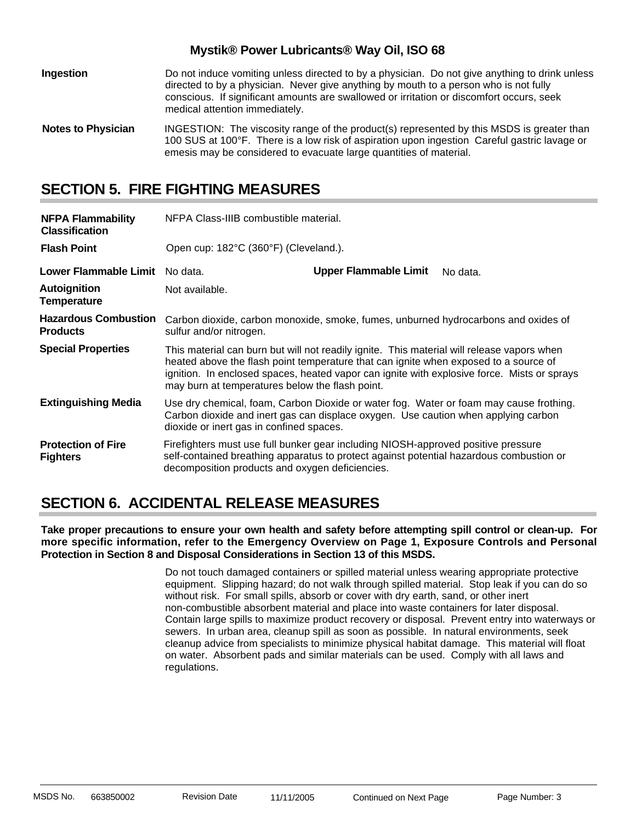| Ingestion                 | Do not induce vomiting unless directed to by a physician. Do not give anything to drink unless<br>directed to by a physician. Never give anything by mouth to a person who is not fully<br>conscious. If significant amounts are swallowed or irritation or discomfort occurs, seek<br>medical attention immediately. |
|---------------------------|-----------------------------------------------------------------------------------------------------------------------------------------------------------------------------------------------------------------------------------------------------------------------------------------------------------------------|
| <b>Notes to Physician</b> | INGESTION: The viscosity range of the product(s) represented by this MSDS is greater than<br>100 SUS at 100°F. There is a low risk of aspiration upon ingestion Careful gastric lavage or<br>emesis may be considered to evacuate large quantities of material.                                                       |

### **SECTION 5. FIRE FIGHTING MEASURES**

| <b>NFPA Flammability</b><br><b>Classification</b> | NFPA Class-IIIB combustible material.                                                                                                                                                                                                                                                                                                |                                       |          |  |
|---------------------------------------------------|--------------------------------------------------------------------------------------------------------------------------------------------------------------------------------------------------------------------------------------------------------------------------------------------------------------------------------------|---------------------------------------|----------|--|
| <b>Flash Point</b>                                |                                                                                                                                                                                                                                                                                                                                      | Open cup: 182°C (360°F) (Cleveland.). |          |  |
| Lower Flammable Limit No data.                    |                                                                                                                                                                                                                                                                                                                                      | <b>Upper Flammable Limit</b>          | No data. |  |
| <b>Autoignition</b><br><b>Temperature</b>         | Not available.                                                                                                                                                                                                                                                                                                                       |                                       |          |  |
| <b>Hazardous Combustion</b><br><b>Products</b>    | Carbon dioxide, carbon monoxide, smoke, fumes, unburned hydrocarbons and oxides of<br>sulfur and/or nitrogen.                                                                                                                                                                                                                        |                                       |          |  |
| <b>Special Properties</b>                         | This material can burn but will not readily ignite. This material will release vapors when<br>heated above the flash point temperature that can ignite when exposed to a source of<br>ignition. In enclosed spaces, heated vapor can ignite with explosive force. Mists or sprays<br>may burn at temperatures below the flash point. |                                       |          |  |
| <b>Extinguishing Media</b>                        | Use dry chemical, foam, Carbon Dioxide or water fog. Water or foam may cause frothing.<br>Carbon dioxide and inert gas can displace oxygen. Use caution when applying carbon<br>dioxide or inert gas in confined spaces.                                                                                                             |                                       |          |  |
| <b>Protection of Fire</b><br><b>Fighters</b>      | Firefighters must use full bunker gear including NIOSH-approved positive pressure<br>self-contained breathing apparatus to protect against potential hazardous combustion or<br>decomposition products and oxygen deficiencies.                                                                                                      |                                       |          |  |

### **SECTION 6. ACCIDENTAL RELEASE MEASURES**

**Take proper precautions to ensure your own health and safety before attempting spill control or clean-up. For more specific information, refer to the Emergency Overview on Page 1, Exposure Controls and Personal Protection in Section 8 and Disposal Considerations in Section 13 of this MSDS.**

> Do not touch damaged containers or spilled material unless wearing appropriate protective equipment. Slipping hazard; do not walk through spilled material. Stop leak if you can do so without risk. For small spills, absorb or cover with dry earth, sand, or other inert non-combustible absorbent material and place into waste containers for later disposal. Contain large spills to maximize product recovery or disposal. Prevent entry into waterways or sewers. In urban area, cleanup spill as soon as possible. In natural environments, seek cleanup advice from specialists to minimize physical habitat damage. This material will float on water. Absorbent pads and similar materials can be used. Comply with all laws and regulations.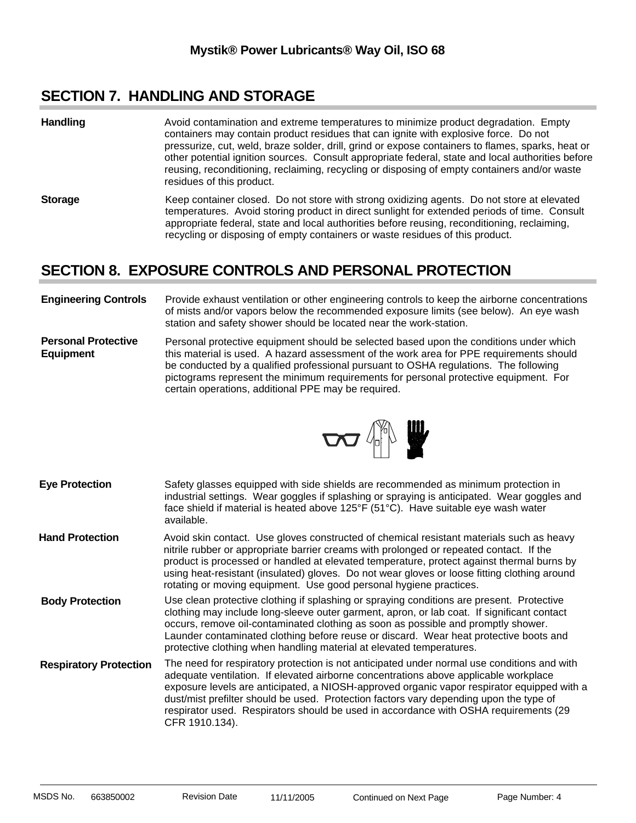### **SECTION 7. HANDLING AND STORAGE**

- Avoid contamination and extreme temperatures to minimize product degradation. Empty containers may contain product residues that can ignite with explosive force. Do not pressurize, cut, weld, braze solder, drill, grind or expose containers to flames, sparks, heat or other potential ignition sources. Consult appropriate federal, state and local authorities before reusing, reconditioning, reclaiming, recycling or disposing of empty containers and/or waste residues of this product. **Handling**
- **Storage** Keep container closed. Do not store with strong oxidizing agents. Do not store at elevated temperatures. Avoid storing product in direct sunlight for extended periods of time. Consult appropriate federal, state and local authorities before reusing, reconditioning, reclaiming, recycling or disposing of empty containers or waste residues of this product.

# **SECTION 8. EXPOSURE CONTROLS AND PERSONAL PROTECTION**

#### **Engineering Controls** Provide exhaust ventilation or other engineering controls to keep the airborne concentrations of mists and/or vapors below the recommended exposure limits (see below). An eye wash station and safety shower should be located near the work-station.

**Personal Protective Equipment** Personal protective equipment should be selected based upon the conditions under which this material is used. A hazard assessment of the work area for PPE requirements should be conducted by a qualified professional pursuant to OSHA regulations. The following pictograms represent the minimum requirements for personal protective equipment. For certain operations, additional PPE may be required.



Safety glasses equipped with side shields are recommended as minimum protection in industrial settings. Wear goggles if splashing or spraying is anticipated. Wear goggles and face shield if material is heated above 125°F (51°C). Have suitable eye wash water available. Avoid skin contact. Use gloves constructed of chemical resistant materials such as heavy nitrile rubber or appropriate barrier creams with prolonged or repeated contact. If the product is processed or handled at elevated temperature, protect against thermal burns by using heat-resistant (insulated) gloves. Do not wear gloves or loose fitting clothing around rotating or moving equipment. Use good personal hygiene practices. The need for respiratory protection is not anticipated under normal use conditions and with adequate ventilation. If elevated airborne concentrations above applicable workplace exposure levels are anticipated, a NIOSH-approved organic vapor respirator equipped with a dust/mist prefilter should be used. Protection factors vary depending upon the type of respirator used. Respirators should be used in accordance with OSHA requirements (29 CFR 1910.134). **Eye Protection Respiratory Protection** Use clean protective clothing if splashing or spraying conditions are present. Protective clothing may include long-sleeve outer garment, apron, or lab coat. If significant contact occurs, remove oil-contaminated clothing as soon as possible and promptly shower. Launder contaminated clothing before reuse or discard. Wear heat protective boots and protective clothing when handling material at elevated temperatures. **Hand Protection Body Protection**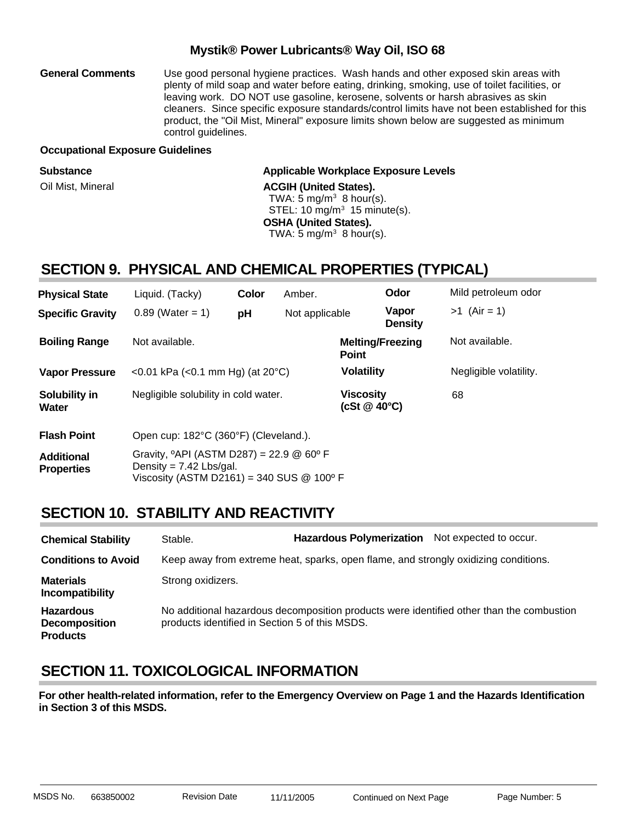Use good personal hygiene practices. Wash hands and other exposed skin areas with plenty of mild soap and water before eating, drinking, smoking, use of toilet facilities, or leaving work. DO NOT use gasoline, kerosene, solvents or harsh abrasives as skin cleaners. Since specific exposure standards/control limits have not been established for this product, the "Oil Mist, Mineral" exposure limits shown below are suggested as minimum control guidelines. **General Comments**

#### **Occupational Exposure Guidelines**

| <b>Substance</b>  | <b>Applicable Workplace Exposure Levels</b> |
|-------------------|---------------------------------------------|
| Oil Mist, Mineral | <b>ACGIH (United States).</b>               |
|                   | TWA: 5 mg/m <sup>3</sup> 8 hour(s).         |
|                   | STEL: $10 \text{ mg/m}^3$ 15 minute(s).     |
|                   | <b>OSHA (United States).</b>                |
|                   | TWA: 5 mg/m <sup>3</sup> 8 hour(s).         |
|                   |                                             |

### **SECTION 9. PHYSICAL AND CHEMICAL PROPERTIES (TYPICAL)**

| <b>Physical State</b>                  | Liquid. (Tacky)                                                                                                                                    | Color | Amber.                                 |                                         | Odor                    | Mild petroleum odor |
|----------------------------------------|----------------------------------------------------------------------------------------------------------------------------------------------------|-------|----------------------------------------|-----------------------------------------|-------------------------|---------------------|
| <b>Specific Gravity</b>                | $0.89$ (Water = 1)                                                                                                                                 | pH    | Not applicable                         |                                         | Vapor<br><b>Density</b> | $>1$ (Air = 1)      |
| <b>Boiling Range</b>                   | Not available.                                                                                                                                     |       |                                        | <b>Melting/Freezing</b><br><b>Point</b> |                         | Not available.      |
| <b>Vapor Pressure</b>                  | $<$ 0.01 kPa ( $<$ 0.1 mm Hg) (at 20 $^{\circ}$ C)                                                                                                 |       | <b>Volatility</b>                      |                                         | Negligible volatility.  |                     |
| Solubility in<br>Water                 | Negligible solubility in cold water.                                                                                                               |       | <b>Viscosity</b><br>(cSt $@$ 40 $°C$ ) |                                         | 68                      |                     |
| <b>Flash Point</b>                     | Open cup: 182°C (360°F) (Cleveland.).                                                                                                              |       |                                        |                                         |                         |                     |
| <b>Additional</b><br><b>Properties</b> | Gravity, $^{\circ}$ API (ASTM D287) = 22.9 @ 60 $^{\circ}$ F<br>Density = $7.42$ Lbs/gal.<br>Viscosity (ASTM D2161) = 340 SUS $@$ 100 $^{\circ}$ F |       |                                        |                                         |                         |                     |

### **SECTION 10. STABILITY AND REACTIVITY**

| <b>Chemical Stability</b>                                   | Stable.                                        | <b>Hazardous Polymerization</b>                                                     | Not expected to occur.                                                                   |
|-------------------------------------------------------------|------------------------------------------------|-------------------------------------------------------------------------------------|------------------------------------------------------------------------------------------|
| <b>Conditions to Avoid</b>                                  |                                                | Keep away from extreme heat, sparks, open flame, and strongly oxidizing conditions. |                                                                                          |
| <b>Materials</b><br>Incompatibility                         | Strong oxidizers.                              |                                                                                     |                                                                                          |
| <b>Hazardous</b><br><b>Decomposition</b><br><b>Products</b> | products identified in Section 5 of this MSDS. |                                                                                     | No additional hazardous decomposition products were identified other than the combustion |

### **SECTION 11. TOXICOLOGICAL INFORMATION**

**For other health-related information, refer to the Emergency Overview on Page 1 and the Hazards Identification in Section 3 of this MSDS.**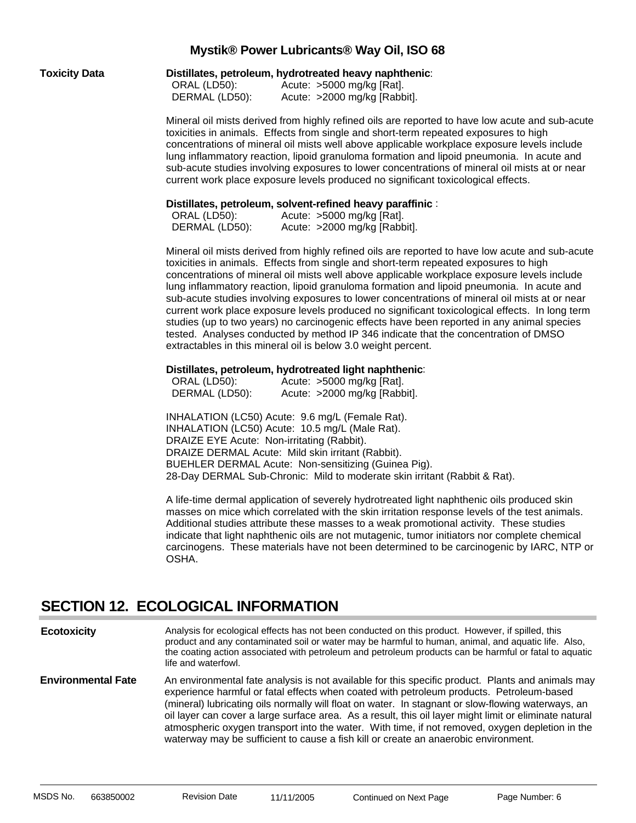|  | <b>Toxicity Data</b> |
|--|----------------------|
|  |                      |

**Distillates, petroleum, hydrotreated heavy naphthenic:** 

| ORAL (LD50):   | Acute: >5000 mg/kg [Rat].    |
|----------------|------------------------------|
| DERMAL (LD50): | Acute: >2000 mg/kg [Rabbit]. |

Mineral oil mists derived from highly refined oils are reported to have low acute and sub-acute toxicities in animals. Effects from single and short-term repeated exposures to high concentrations of mineral oil mists well above applicable workplace exposure levels include lung inflammatory reaction, lipoid granuloma formation and lipoid pneumonia. In acute and sub-acute studies involving exposures to lower concentrations of mineral oil mists at or near current work place exposure levels produced no significant toxicological effects.

#### **Distillates, petroleum, solvent-refined heavy paraffinic** :

| ORAL (LD50):   | Acute: >5000 mg/kg [Rat].    |
|----------------|------------------------------|
| DERMAL (LD50): | Acute: >2000 mg/kg [Rabbit]. |

Mineral oil mists derived from highly refined oils are reported to have low acute and sub-acute toxicities in animals. Effects from single and short-term repeated exposures to high concentrations of mineral oil mists well above applicable workplace exposure levels include lung inflammatory reaction, lipoid granuloma formation and lipoid pneumonia. In acute and sub-acute studies involving exposures to lower concentrations of mineral oil mists at or near current work place exposure levels produced no significant toxicological effects. In long term studies (up to two years) no carcinogenic effects have been reported in any animal species tested. Analyses conducted by method IP 346 indicate that the concentration of DMSO extractables in this mineral oil is below 3.0 weight percent.

#### **Distillates, petroleum, hydrotreated light naphthenic**:

| ORAL (LD50):   | Acute: $>5000$ mg/kg [Rat].  |
|----------------|------------------------------|
| DERMAL (LD50): | Acute: >2000 mg/kg [Rabbit]. |

INHALATION (LC50) Acute: 9.6 mg/L (Female Rat). INHALATION (LC50) Acute: 10.5 mg/L (Male Rat). DRAIZE EYE Acute: Non-irritating (Rabbit). DRAIZE DERMAL Acute: Mild skin irritant (Rabbit). BUEHLER DERMAL Acute: Non-sensitizing (Guinea Pig). 28-Day DERMAL Sub-Chronic: Mild to moderate skin irritant (Rabbit & Rat).

A life-time dermal application of severely hydrotreated light naphthenic oils produced skin masses on mice which correlated with the skin irritation response levels of the test animals. Additional studies attribute these masses to a weak promotional activity. These studies indicate that light naphthenic oils are not mutagenic, tumor initiators nor complete chemical carcinogens. These materials have not been determined to be carcinogenic by IARC, NTP or OSHA.

### **SECTION 12. ECOLOGICAL INFORMATION**

Analysis for ecological effects has not been conducted on this product. However, if spilled, this product and any contaminated soil or water may be harmful to human, animal, and aquatic life. Also, the coating action associated with petroleum and petroleum products can be harmful or fatal to aquatic life and waterfowl. **Ecotoxicity**

An environmental fate analysis is not available for this specific product. Plants and animals may experience harmful or fatal effects when coated with petroleum products. Petroleum-based (mineral) lubricating oils normally will float on water. In stagnant or slow-flowing waterways, an oil layer can cover a large surface area. As a result, this oil layer might limit or eliminate natural atmospheric oxygen transport into the water. With time, if not removed, oxygen depletion in the waterway may be sufficient to cause a fish kill or create an anaerobic environment. **Environmental Fate**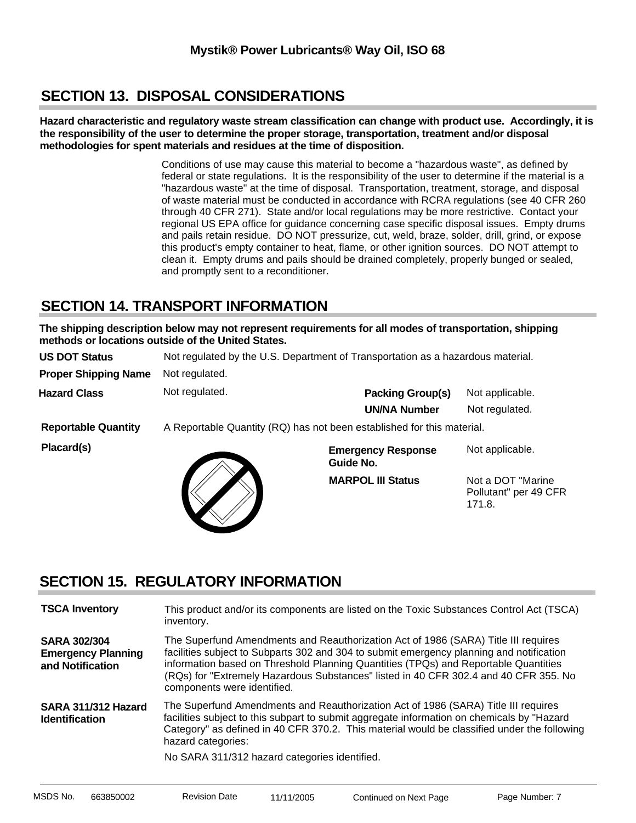# **SECTION 13. DISPOSAL CONSIDERATIONS**

**Hazard characteristic and regulatory waste stream classification can change with product use. Accordingly, it is the responsibility of the user to determine the proper storage, transportation, treatment and/or disposal methodologies for spent materials and residues at the time of disposition.**

> Conditions of use may cause this material to become a "hazardous waste", as defined by federal or state regulations. It is the responsibility of the user to determine if the material is a "hazardous waste" at the time of disposal. Transportation, treatment, storage, and disposal of waste material must be conducted in accordance with RCRA regulations (see 40 CFR 260 through 40 CFR 271). State and/or local regulations may be more restrictive. Contact your regional US EPA office for guidance concerning case specific disposal issues. Empty drums and pails retain residue. DO NOT pressurize, cut, weld, braze, solder, drill, grind, or expose this product's empty container to heat, flame, or other ignition sources. DO NOT attempt to clean it. Empty drums and pails should be drained completely, properly bunged or sealed, and promptly sent to a reconditioner.

### **SECTION 14. TRANSPORT INFORMATION**

**The shipping description below may not represent requirements for all modes of transportation, shipping methods or locations outside of the United States.**

| <b>US DOT Status</b>        | Not regulated by the U.S. Department of Transportation as a hazardous material. |                                        |                                                       |
|-----------------------------|---------------------------------------------------------------------------------|----------------------------------------|-------------------------------------------------------|
| <b>Proper Shipping Name</b> | Not regulated.                                                                  |                                        |                                                       |
| <b>Hazard Class</b>         | Not regulated.                                                                  | <b>Packing Group(s)</b>                | Not applicable.                                       |
|                             |                                                                                 | <b>UN/NA Number</b>                    | Not regulated.                                        |
| <b>Reportable Quantity</b>  | A Reportable Quantity (RQ) has not been established for this material.          |                                        |                                                       |
| Placard(s)                  |                                                                                 | <b>Emergency Response</b><br>Guide No. | Not applicable.                                       |
|                             |                                                                                 | <b>MARPOL III Status</b>               | Not a DOT "Marine"<br>Pollutant" per 49 CFR<br>171.8. |

# **SECTION 15. REGULATORY INFORMATION**

| <b>TSCA Inventory</b>                                                | This product and/or its components are listed on the Toxic Substances Control Act (TSCA)<br>inventory.                                                                                                                                                                                                                                                                                       |
|----------------------------------------------------------------------|----------------------------------------------------------------------------------------------------------------------------------------------------------------------------------------------------------------------------------------------------------------------------------------------------------------------------------------------------------------------------------------------|
| <b>SARA 302/304</b><br><b>Emergency Planning</b><br>and Notification | The Superfund Amendments and Reauthorization Act of 1986 (SARA) Title III requires<br>facilities subject to Subparts 302 and 304 to submit emergency planning and notification<br>information based on Threshold Planning Quantities (TPQs) and Reportable Quantities<br>(RQs) for "Extremely Hazardous Substances" listed in 40 CFR 302.4 and 40 CFR 355. No<br>components were identified. |
| SARA 311/312 Hazard<br><b>Identification</b>                         | The Superfund Amendments and Reauthorization Act of 1986 (SARA) Title III requires<br>facilities subject to this subpart to submit aggregate information on chemicals by "Hazard<br>Category" as defined in 40 CFR 370.2. This material would be classified under the following<br>hazard categories:<br>No SARA 311/312 hazard categories identified.                                       |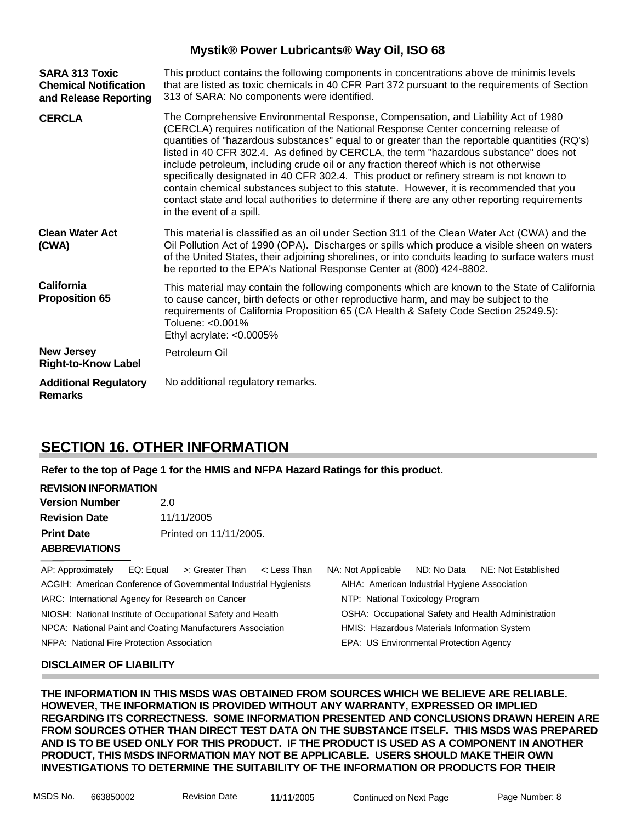| <b>SARA 313 Toxic</b><br><b>Chemical Notification</b><br>and Release Reporting | This product contains the following components in concentrations above de minimis levels<br>that are listed as toxic chemicals in 40 CFR Part 372 pursuant to the requirements of Section<br>313 of SARA: No components were identified.                                                                                                                                                                                                                                                                                                                                                                                                                                                                                                                                            |
|--------------------------------------------------------------------------------|-------------------------------------------------------------------------------------------------------------------------------------------------------------------------------------------------------------------------------------------------------------------------------------------------------------------------------------------------------------------------------------------------------------------------------------------------------------------------------------------------------------------------------------------------------------------------------------------------------------------------------------------------------------------------------------------------------------------------------------------------------------------------------------|
| <b>CERCLA</b>                                                                  | The Comprehensive Environmental Response, Compensation, and Liability Act of 1980<br>(CERCLA) requires notification of the National Response Center concerning release of<br>quantities of "hazardous substances" equal to or greater than the reportable quantities (RQ's)<br>listed in 40 CFR 302.4. As defined by CERCLA, the term "hazardous substance" does not<br>include petroleum, including crude oil or any fraction thereof which is not otherwise<br>specifically designated in 40 CFR 302.4. This product or refinery stream is not known to<br>contain chemical substances subject to this statute. However, it is recommended that you<br>contact state and local authorities to determine if there are any other reporting requirements<br>in the event of a spill. |
| <b>Clean Water Act</b><br>(CWA)                                                | This material is classified as an oil under Section 311 of the Clean Water Act (CWA) and the<br>Oil Pollution Act of 1990 (OPA). Discharges or spills which produce a visible sheen on waters<br>of the United States, their adjoining shorelines, or into conduits leading to surface waters must<br>be reported to the EPA's National Response Center at (800) 424-8802.                                                                                                                                                                                                                                                                                                                                                                                                          |
| <b>California</b><br><b>Proposition 65</b>                                     | This material may contain the following components which are known to the State of California<br>to cause cancer, birth defects or other reproductive harm, and may be subject to the<br>requirements of California Proposition 65 (CA Health & Safety Code Section 25249.5):<br>Toluene: <0.001%<br>Ethyl acrylate: <0.0005%                                                                                                                                                                                                                                                                                                                                                                                                                                                       |
| <b>New Jersey</b><br><b>Right-to-Know Label</b>                                | Petroleum Oil                                                                                                                                                                                                                                                                                                                                                                                                                                                                                                                                                                                                                                                                                                                                                                       |
| <b>Additional Regulatory</b><br><b>Remarks</b>                                 | No additional regulatory remarks.                                                                                                                                                                                                                                                                                                                                                                                                                                                                                                                                                                                                                                                                                                                                                   |

### **SECTION 16. OTHER INFORMATION**

**Refer to the top of Page 1 for the HMIS and NFPA Hazard Ratings for this product.**

#### **REVISION INFORMATION**

| <b>Version Number</b> | 2.0                    |
|-----------------------|------------------------|
| <b>Revision Date</b>  | 11/11/2005             |
| <b>Print Date</b>     | Printed on 11/11/2005. |
| <b>ABBREVIATIONS</b>  |                        |

AP: Approximately EQ: Equal >: Greater Than <: Less Than NA: Not Applicable ND: No Data NE: Not Established ACGIH: American Conference of Governmental Industrial Hygienists IARC: International Agency for Research on Cancer NIOSH: National Institute of Occupational Safety and Health NPCA: National Paint and Coating Manufacturers Association

NFPA: National Fire Protection Association

AIHA: American Industrial Hygiene Association NTP: National Toxicology Program OSHA: Occupational Safety and Health Administration HMIS: Hazardous Materials Information System EPA: US Environmental Protection Agency

#### **DISCLAIMER OF LIABILITY**

**THE INFORMATION IN THIS MSDS WAS OBTAINED FROM SOURCES WHICH WE BELIEVE ARE RELIABLE. HOWEVER, THE INFORMATION IS PROVIDED WITHOUT ANY WARRANTY, EXPRESSED OR IMPLIED REGARDING ITS CORRECTNESS. SOME INFORMATION PRESENTED AND CONCLUSIONS DRAWN HEREIN ARE FROM SOURCES OTHER THAN DIRECT TEST DATA ON THE SUBSTANCE ITSELF. THIS MSDS WAS PREPARED AND IS TO BE USED ONLY FOR THIS PRODUCT. IF THE PRODUCT IS USED AS A COMPONENT IN ANOTHER PRODUCT, THIS MSDS INFORMATION MAY NOT BE APPLICABLE. USERS SHOULD MAKE THEIR OWN INVESTIGATIONS TO DETERMINE THE SUITABILITY OF THE INFORMATION OR PRODUCTS FOR THEIR**